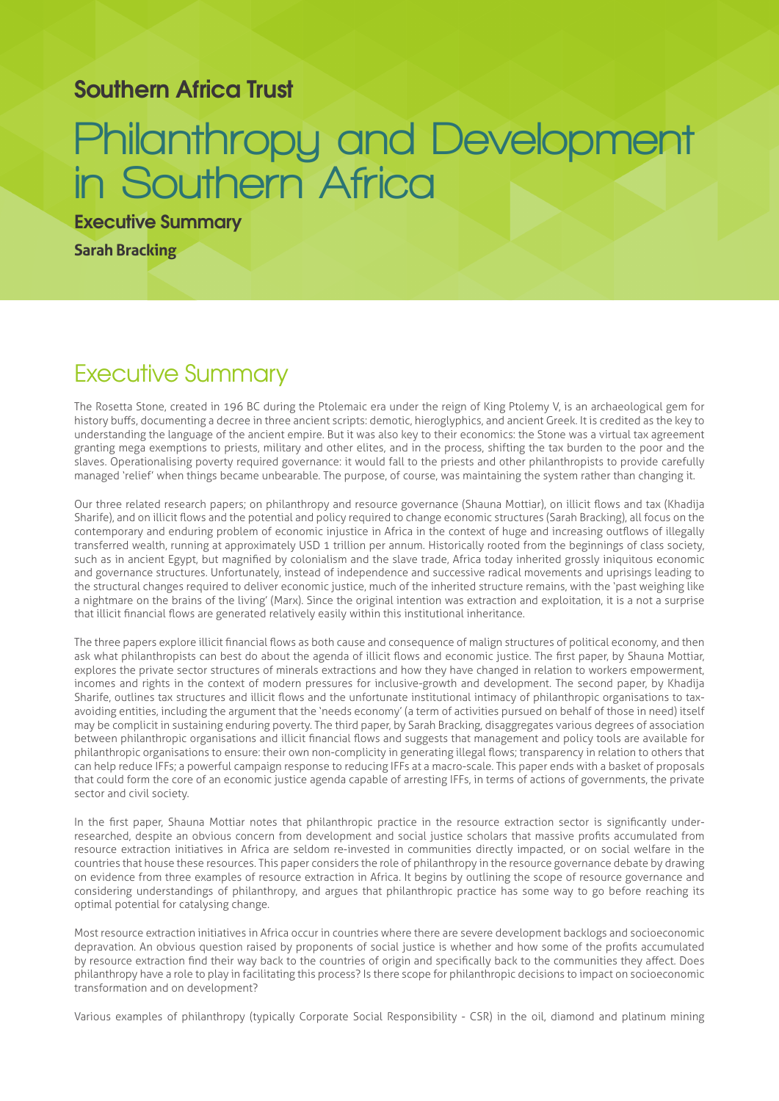## **Southern Africa Trust**

## **Philanthropy and Development in Southern Africa**

**Executive Summary Sarah Bracking**

## Executive Summary

The Rosetta Stone, created in 196 BC during the Ptolemaic era under the reign of King Ptolemy V, is an archaeological gem for history buffs, documenting a decree in three ancient scripts: demotic, hieroglyphics, and ancient Greek. It is credited as the key to understanding the language of the ancient empire. But it was also key to their economics: the Stone was a virtual tax agreement granting mega exemptions to priests, military and other elites, and in the process, shifting the tax burden to the poor and the slaves. Operationalising poverty required governance: it would fall to the priests and other philanthropists to provide carefully managed 'relief' when things became unbearable. The purpose, of course, was maintaining the system rather than changing it.

Our three related research papers; on philanthropy and resource governance (Shauna Mottiar), on illicit flows and tax (Khadija Sharife), and on illicit flows and the potential and policy required to change economic structures (Sarah Bracking), all focus on the contemporary and enduring problem of economic injustice in Africa in the context of huge and increasing outflows of illegally transferred wealth, running at approximately USD 1 trillion per annum. Historically rooted from the beginnings of class society, such as in ancient Egypt, but magnified by colonialism and the slave trade, Africa today inherited grossly iniquitous economic and governance structures. Unfortunately, instead of independence and successive radical movements and uprisings leading to the structural changes required to deliver economic justice, much of the inherited structure remains, with the 'past weighing like a nightmare on the brains of the living' (Marx). Since the original intention was extraction and exploitation, it is a not a surprise that illicit financial flows are generated relatively easily within this institutional inheritance.

The three papers explore illicit financial flows as both cause and consequence of malign structures of political economy, and then ask what philanthropists can best do about the agenda of illicit flows and economic justice. The first paper, by Shauna Mottiar, explores the private sector structures of minerals extractions and how they have changed in relation to workers empowerment, incomes and rights in the context of modern pressures for inclusive-growth and development. The second paper, by Khadija Sharife, outlines tax structures and illicit flows and the unfortunate institutional intimacy of philanthropic organisations to taxavoiding entities, including the argument that the 'needs economy' (a term of activities pursued on behalf of those in need) itself may be complicit in sustaining enduring poverty. The third paper, by Sarah Bracking, disaggregates various degrees of association between philanthropic organisations and illicit financial flows and suggests that management and policy tools are available for philanthropic organisations to ensure: their own non-complicity in generating illegal flows; transparency in relation to others that can help reduce IFFs; a powerful campaign response to reducing IFFs at a macro-scale. This paper ends with a basket of proposals that could form the core of an economic justice agenda capable of arresting IFFs, in terms of actions of governments, the private sector and civil society.

In the first paper, Shauna Mottiar notes that philanthropic practice in the resource extraction sector is significantly underresearched, despite an obvious concern from development and social justice scholars that massive profits accumulated from resource extraction initiatives in Africa are seldom re-invested in communities directly impacted, or on social welfare in the countries that house these resources. This paper considers the role of philanthropy in the resource governance debate by drawing on evidence from three examples of resource extraction in Africa. It begins by outlining the scope of resource governance and considering understandings of philanthropy, and argues that philanthropic practice has some way to go before reaching its optimal potential for catalysing change.

Most resource extraction initiatives in Africa occur in countries where there are severe development backlogs and socioeconomic depravation. An obvious question raised by proponents of social justice is whether and how some of the profits accumulated by resource extraction find their way back to the countries of origin and specifically back to the communities they affect. Does philanthropy have a role to play in facilitating this process? Is there scope for philanthropic decisions to impact on socioeconomic transformation and on development?

Various examples of philanthropy (typically Corporate Social Responsibility - CSR) in the oil, diamond and platinum mining